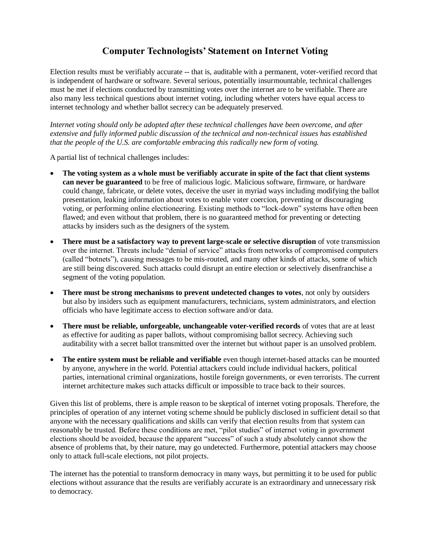## **Computer Technologists' Statement on Internet Voting**

Election results must be verifiably accurate -- that is, auditable with a permanent, voter-verified record that is independent of hardware or software. Several serious, potentially insurmountable, technical challenges must be met if elections conducted by transmitting votes over the internet are to be verifiable. There are also many less technical questions about internet voting, including whether voters have equal access to internet technology and whether ballot secrecy can be adequately preserved.

*Internet voting should only be adopted after these technical challenges have been overcome, and after extensive and fully informed public discussion of the technical and non-technical issues has established that the people of the U.S. are comfortable embracing this radically new form of voting.*

A partial list of technical challenges includes:

- **The voting system as a whole must be verifiably accurate in spite of the fact that client systems can never be guaranteed** to be free of malicious logic. Malicious software, firmware, or hardware could change, fabricate, or delete votes, deceive the user in myriad ways including modifying the ballot presentation, leaking information about votes to enable voter coercion, preventing or discouraging voting, or performing online electioneering. Existing methods to "lock-down" systems have often been flawed; and even without that problem, there is no guaranteed method for preventing or detecting attacks by insiders such as the designers of the system.
- **There must be a satisfactory way to prevent large-scale or selective disruption** of vote transmission over the internet. Threats include "denial of service" attacks from networks of compromised computers (called "botnets"), causing messages to be mis-routed, and many other kinds of attacks, some of which are still being discovered. Such attacks could disrupt an entire election or selectively disenfranchise a segment of the voting population.
- **There must be strong mechanisms to prevent undetected changes to votes**, not only by outsiders but also by insiders such as equipment manufacturers, technicians, system administrators, and election officials who have legitimate access to election software and/or data.
- **There must be reliable, unforgeable, unchangeable voter-verified records** of votes that are at least as effective for auditing as paper ballots, without compromising ballot secrecy. Achieving such auditability with a secret ballot transmitted over the internet but without paper is an unsolved problem.
- **The entire system must be reliable and verifiable** even though internet-based attacks can be mounted by anyone, anywhere in the world. Potential attackers could include individual hackers, political parties, international criminal organizations, hostile foreign governments, or even terrorists. The current internet architecture makes such attacks difficult or impossible to trace back to their sources.

Given this list of problems, there is ample reason to be skeptical of internet voting proposals. Therefore, the principles of operation of any internet voting scheme should be publicly disclosed in sufficient detail so that anyone with the necessary qualifications and skills can verify that election results from that system can reasonably be trusted. Before these conditions are met, "pilot studies" of internet voting in government elections should be avoided, because the apparent "success" of such a study absolutely cannot show the absence of problems that, by their nature, may go undetected. Furthermore, potential attackers may choose only to attack full-scale elections, not pilot projects.

The internet has the potential to transform democracy in many ways, but permitting it to be used for public elections without assurance that the results are verifiably accurate is an extraordinary and unnecessary risk to democracy.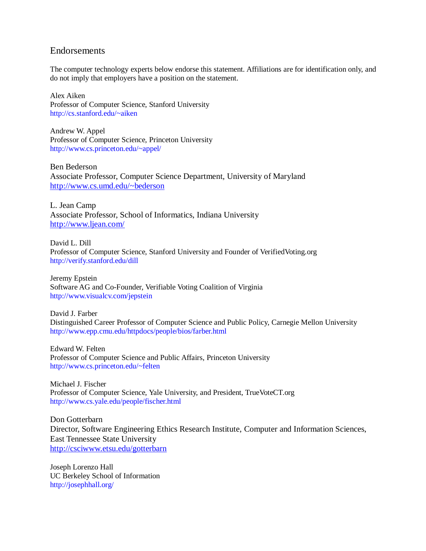## Endorsements

The computer technology experts below endorse this statement. Affiliations are for identification only, and do not imply that employers have a position on the statement.

Alex Aiken Professor of Computer Science, Stanford University http://cs.stanford.edu/~aiken

Andrew W. Appel Professor of Computer Science, Princeton University http://www.cs.princeton.edu/~appel/

Ben Bederson Associate Professor, Computer Science Department, University of Maryland <http://www.cs.umd.edu/~bederson>

L. Jean Camp Associate Professor, School of Informatics, Indiana University <http://www.ljean.com/>

David L. Dill Professor of Computer Science, Stanford University and Founder of VerifiedVoting.org http://verify.stanford.edu/dill

Jeremy Epstein Software AG and Co-Founder, Verifiable Voting Coalition of Virginia http://www.visualcv.com/jepstein

David J. Farber Distinguished Career Professor of Computer Science and Public Policy, Carnegie Mellon University http://www.epp.cmu.edu/httpdocs/people/bios/farber.html

Edward W. Felten Professor of Computer Science and Public Affairs, Princeton University http://www.cs.princeton.edu/~felten

Michael J. Fischer Professor of Computer Science, Yale University, and President, TrueVoteCT.org http://www.cs.yale.edu/people/fischer.html

Don Gotterbarn Director, Software Engineering Ethics Research Institute, Computer and Information Sciences, East Tennessee State University <http://csciwww.etsu.edu/gotterbarn>

Joseph Lorenzo Hall UC Berkeley School of Information http://josephhall.org/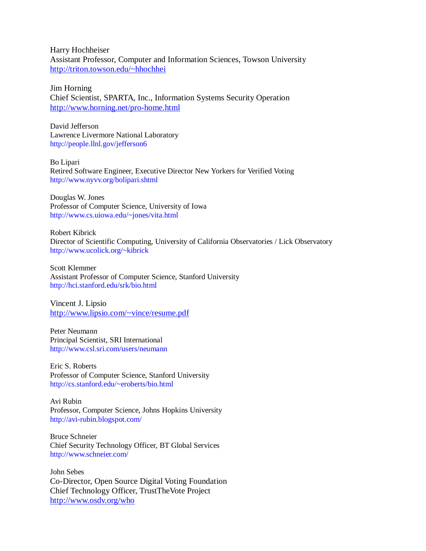Harry Hochheiser Assistant Professor, Computer and Information Sciences, Towson University <http://triton.towson.edu/~hhochhei>

Jim Horning Chief Scientist, SPARTA, Inc., Information Systems Security Operation <http://www.horning.net/pro-home.html>

David Jefferson Lawrence Livermore National Laboratory http://people.llnl.gov/jefferson6

Bo Lipari Retired Software Engineer, Executive Director New Yorkers for Verified Voting http://www.nyvv.org/bolipari.shtml

Douglas W. Jones Professor of Computer Science, University of Iowa http://www.cs.uiowa.edu/~jones/vita.html

Robert Kibrick Director of Scientific Computing, University of California Observatories / Lick Observatory http://www.ucolick.org/~kibrick

Scott Klemmer Assistant Professor of Computer Science, Stanford University http://hci.stanford.edu/srk/bio.html

Vincent J. Lipsio <http://www.lipsio.com/~vince/resume.pdf>

Peter Neumann Principal Scientist, SRI International http://www.csl.sri.com/users/neumann

Eric S. Roberts Professor of Computer Science, Stanford University http://cs.stanford.edu/~eroberts/bio.html

Avi Rubin Professor, Computer Science, Johns Hopkins University http://avi-rubin.blogspot.com/

Bruce Schneier Chief Security Technology Officer, BT Global Services http://www.schneier.com/

John Sebes Co-Director, Open Source Digital Voting Foundation Chief Technology Officer, TrustTheVote Project <http://www.osdv.org/who>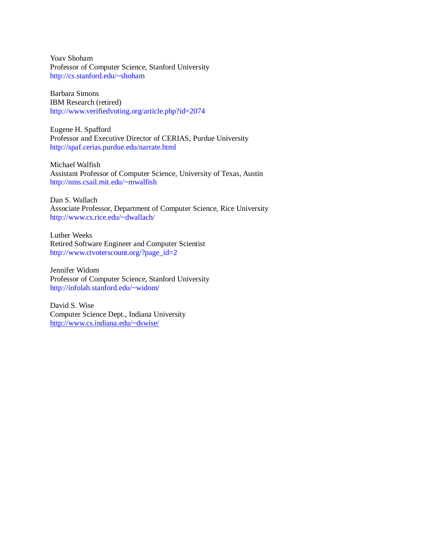Yoav Shoham Professor of Computer Science, Stanford University http://cs.stanford.edu/~shoham

Barbara Simons IBM Research (retired) http://www.verifiedvoting.org/article.php?id=2074

Eugene H. Spafford Professor and Executive Director of CERIAS, Purdue University http://spaf.cerias.purdue.edu/narrate.html

Michael Walfish Assistant Professor of Computer Science, University of Texas, Austin http://nms.csail.mit.edu/~mwalfish

Dan S. Wallach Associate Professor, Department of Computer Science, Rice University http://www.cs.rice.edu/~dwallach/

Luther Weeks Retired Software Engineer and Computer Scientist http://www.ctvoterscount.org/?page\_id=2

Jennifer Widom Professor of Computer Science, Stanford University http://infolab.stanford.edu/~widom/

David S. Wise Computer Science Dept., Indiana University <http://www.cs.indiana.edu/~dswise/>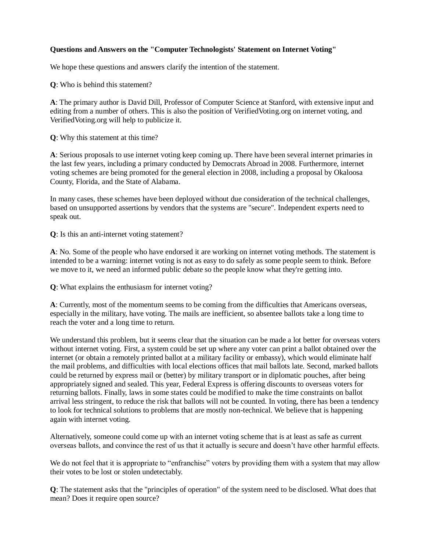## **Questions and Answers on the "Computer Technologists' Statement on Internet Voting"**

We hope these questions and answers clarify the intention of the statement.

**Q**: Who is behind this statement?

**A**: The primary author is David Dill, Professor of Computer Science at Stanford, with extensive input and editing from a number of others. This is also the position of VerifiedVoting.org on internet voting, and VerifiedVoting.org will help to publicize it.

**Q**: Why this statement at this time?

**A**: Serious proposals to use internet voting keep coming up. There have been several internet primaries in the last few years, including a primary conducted by Democrats Abroad in 2008. Furthermore, internet voting schemes are being promoted for the general election in 2008, including a proposal by Okaloosa County, Florida, and the State of Alabama.

In many cases, these schemes have been deployed without due consideration of the technical challenges, based on unsupported assertions by vendors that the systems are "secure". Independent experts need to speak out.

**Q**: Is this an anti-internet voting statement?

**A**: No. Some of the people who have endorsed it are working on internet voting methods. The statement is intended to be a warning: internet voting is not as easy to do safely as some people seem to think. Before we move to it, we need an informed public debate so the people know what they're getting into.

**Q**: What explains the enthusiasm for internet voting?

**A**: Currently, most of the momentum seems to be coming from the difficulties that Americans overseas, especially in the military, have voting. The mails are inefficient, so absentee ballots take a long time to reach the voter and a long time to return.

We understand this problem, but it seems clear that the situation can be made a lot better for overseas voters without internet voting. First, a system could be set up where any voter can print a ballot obtained over the internet (or obtain a remotely printed ballot at a military facility or embassy), which would eliminate half the mail problems, and difficulties with local elections offices that mail ballots late. Second, marked ballots could be returned by express mail or (better) by military transport or in diplomatic pouches, after being appropriately signed and sealed. This year, Federal Express is offering discounts to overseas voters for returning ballots. Finally, laws in some states could be modified to make the time constraints on ballot arrival less stringent, to reduce the risk that ballots will not be counted. In voting, there has been a tendency to look for technical solutions to problems that are mostly non-technical. We believe that is happening again with internet voting.

Alternatively, someone could come up with an internet voting scheme that is at least as safe as current overseas ballots, and convince the rest of us that it actually is secure and doesn't have other harmful effects.

We do not feel that it is appropriate to "enfranchise" voters by providing them with a system that may allow their votes to be lost or stolen undetectably.

**Q**: The statement asks that the "principles of operation" of the system need to be disclosed. What does that mean? Does it require open source?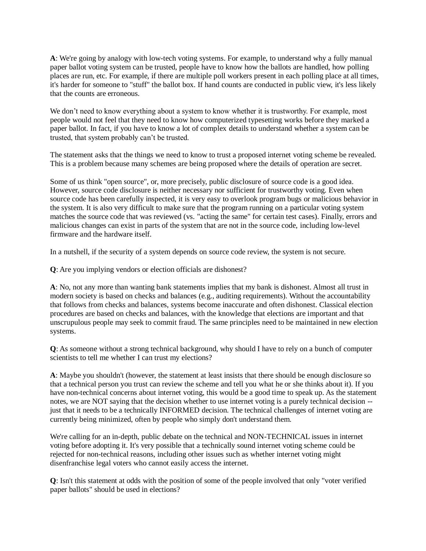**A**: We're going by analogy with low-tech voting systems. For example, to understand why a fully manual paper ballot voting system can be trusted, people have to know how the ballots are handled, how polling places are run, etc. For example, if there are multiple poll workers present in each polling place at all times, it's harder for someone to "stuff" the ballot box. If hand counts are conducted in public view, it's less likely that the counts are erroneous.

We don't need to know everything about a system to know whether it is trustworthy. For example, most people would not feel that they need to know how computerized typesetting works before they marked a paper ballot. In fact, if you have to know a lot of complex details to understand whether a system can be trusted, that system probably can't be trusted.

The statement asks that the things we need to know to trust a proposed internet voting scheme be revealed. This is a problem because many schemes are being proposed where the details of operation are secret.

Some of us think "open source", or, more precisely, public disclosure of source code is a good idea. However, source code disclosure is neither necessary nor sufficient for trustworthy voting. Even when source code has been carefully inspected, it is very easy to overlook program bugs or malicious behavior in the system. It is also very difficult to make sure that the program running on a particular voting system matches the source code that was reviewed (vs. "acting the same" for certain test cases). Finally, errors and malicious changes can exist in parts of the system that are not in the source code, including low-level firmware and the hardware itself.

In a nutshell, if the security of a system depends on source code review, the system is not secure.

**Q**: Are you implying vendors or election officials are dishonest?

**A**: No, not any more than wanting bank statements implies that my bank is dishonest. Almost all trust in modern society is based on checks and balances (e.g., auditing requirements). Without the accountability that follows from checks and balances, systems become inaccurate and often dishonest. Classical election procedures are based on checks and balances, with the knowledge that elections are important and that unscrupulous people may seek to commit fraud. The same principles need to be maintained in new election systems.

**Q**: As someone without a strong technical background, why should I have to rely on a bunch of computer scientists to tell me whether I can trust my elections?

**A**: Maybe you shouldn't (however, the statement at least insists that there should be enough disclosure so that a technical person you trust can review the scheme and tell you what he or she thinks about it). If you have non-technical concerns about internet voting, this would be a good time to speak up. As the statement notes, we are NOT saying that the decision whether to use internet voting is a purely technical decision - just that it needs to be a technically INFORMED decision. The technical challenges of internet voting are currently being minimized, often by people who simply don't understand them.

We're calling for an in-depth, public debate on the technical and NON-TECHNICAL issues in internet voting before adopting it. It's very possible that a technically sound internet voting scheme could be rejected for non-technical reasons, including other issues such as whether internet voting might disenfranchise legal voters who cannot easily access the internet.

**Q**: Isn't this statement at odds with the position of some of the people involved that only "voter verified paper ballots" should be used in elections?